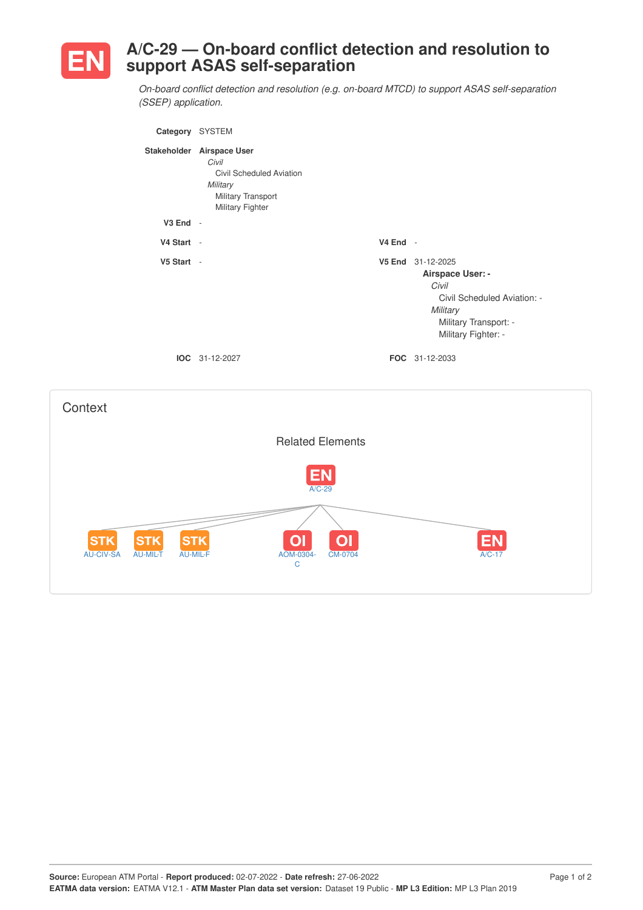

## **A/C-29 — On-board conflict detection and resolution to support ASAS self-separation**

*On-board conflict detection and resolution (e.g. on-board MTCD) to support ASAS self-separation (SSEP) application.*

| Category     | <b>SYSTEM</b>                                                                                                   |                    |                                                                                                                                    |
|--------------|-----------------------------------------------------------------------------------------------------------------|--------------------|------------------------------------------------------------------------------------------------------------------------------------|
| Stakeholder  | <b>Airspace User</b><br>Civil<br>Civil Scheduled Aviation<br>Military<br>Military Transport<br>Military Fighter |                    |                                                                                                                                    |
| $V3$ End $-$ |                                                                                                                 |                    |                                                                                                                                    |
| V4 Start -   |                                                                                                                 | $V4$ End -         |                                                                                                                                    |
| V5 Start -   |                                                                                                                 | V <sub>5</sub> End | 31-12-2025<br>Airspace User: -<br>Civil<br>Civil Scheduled Aviation: -<br>Military<br>Military Transport: -<br>Military Fighter: - |
|              | <b>IOC</b> 31-12-2027                                                                                           |                    | <b>FOC</b> 31-12-2033                                                                                                              |